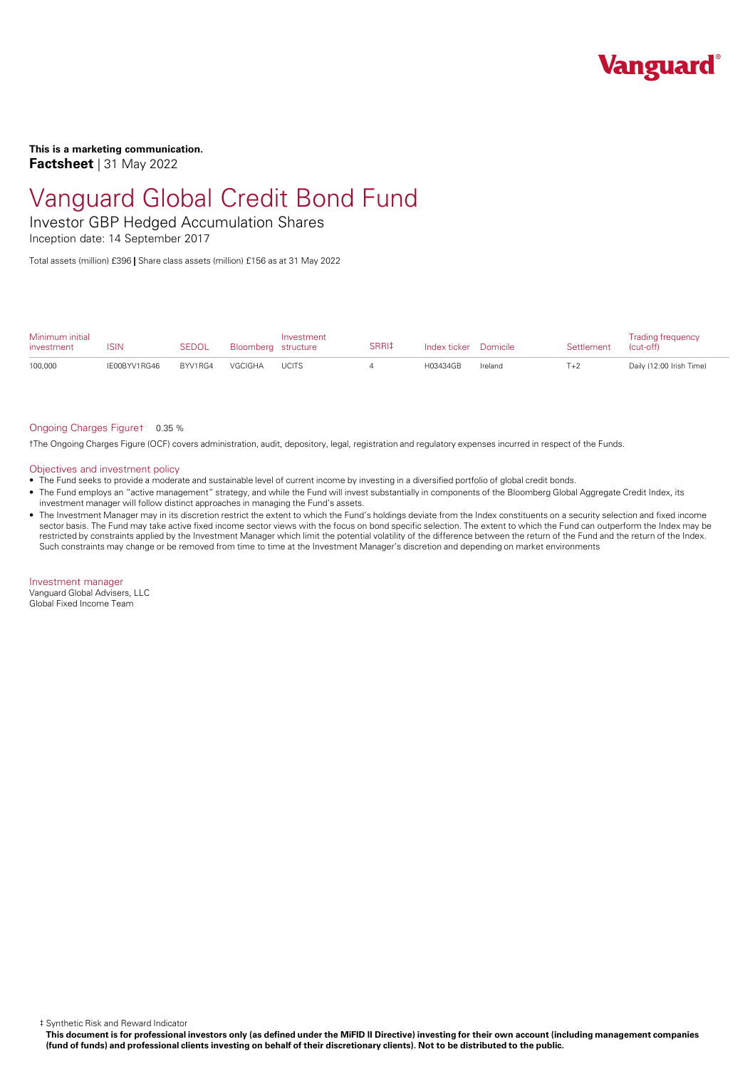

**This is a marketing communication. Factsheet** | 31 May 2022

## Vanguard Global Credit Bond Fund

Investor GBP Hedged Accumulation Shares

Inception date: 14 September 2017

Total assets (million) £396 **|** Share class assets (million) £156 as at 31 May 2022

| Minimum initial<br>investment | <b>ISIN</b>  | <b>SEDOL</b> | Bloomberg structure | Investment   | SRRI‡ | Index ticker Domicile |         | Settlement | <b>Trading frequency</b><br>(cut-off) |
|-------------------------------|--------------|--------------|---------------------|--------------|-------|-----------------------|---------|------------|---------------------------------------|
| 100,000                       | IE00BYV1RG46 | BYV1RG4      | VGCIGHA             | <b>UCITS</b> |       | H03434GB              | Ireland | $T+2$      | Daily (12:00 Irish Time)              |

#### Ongoing Charges Figure† 0.35 %

†The Ongoing Charges Figure (OCF) covers administration, audit, depository, legal, registration and regulatory expenses incurred in respect of the Funds.

#### Objectives and investment policy

- The Fund seeks to provide a moderate and sustainable level of current income by investing in a diversified portfolio of global credit bonds.
- The Fund employs an "active management" strategy, and while the Fund will invest substantially in components of the Bloomberg Global Aggregate Credit Index, its investment manager will follow distinct approaches in managing the Fund's assets.
- The Investment Manager may in its discretion restrict the extent to which the Fund's holdings deviate from the Index constituents on a security selection and fixed income sector basis. The Fund may take active fixed income sector views with the focus on bond specific selection. The extent to which the Fund can outperform the Index may be restricted by constraints applied by the Investment Manager which limit the potential volatility ofthe difference between the return of the Fund and the return of the Index. Such constraints may change or be removed from time to time at the Investment Manager's discretion and depending on market environments

Investment manager Vanguard Global Advisers, LLC Global Fixed Income Team

‡ Synthetic Risk and Reward Indicator

This document is for professional investors only (as defined under the MiFID II Directive) investing for their own account (including management companies (fund of funds) and professional clients investing on behalf of their discretionary clients). Not to be distributed to the public.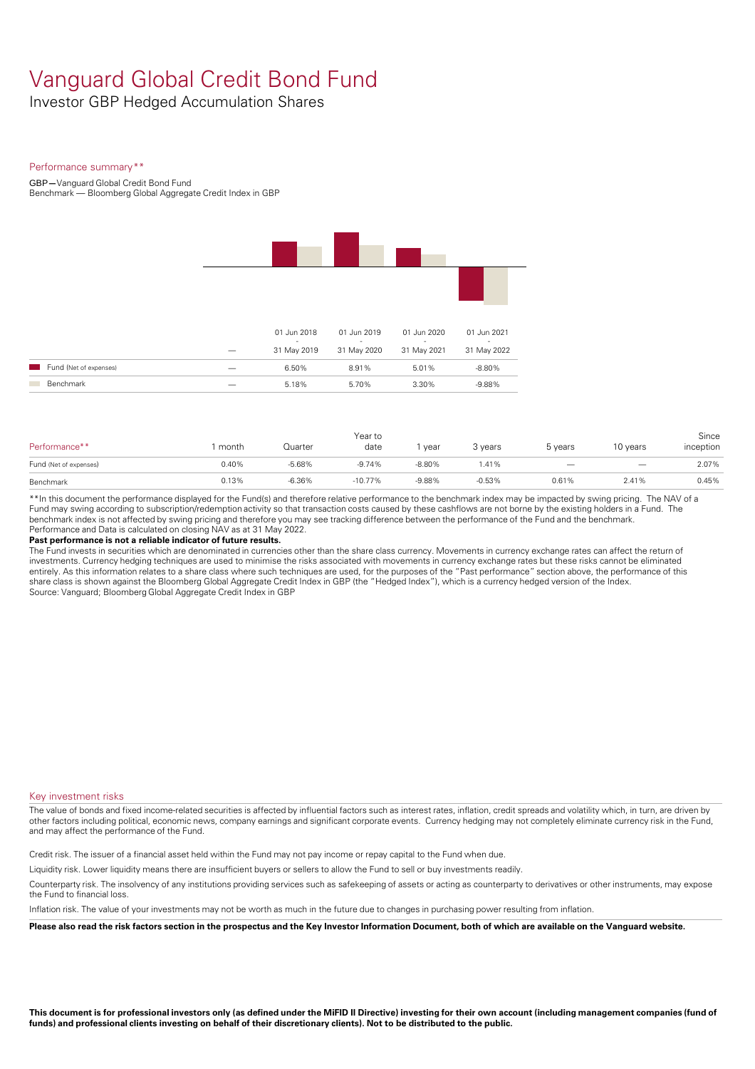## Vanguard Global Credit Bond Fund

Investor GBP Hedged Accumulation Shares

#### Performance summary\*\*

GBP**—**Vanguard Global Credit Bond Fund Benchmark — Bloomberg Global Aggregate Credit Index in GBP

|                        | 01 Jun 2018<br>$\sim$ | 01 Jun 2019<br>$\sim$ | 01 Jun 2020<br>$\sim$ | 01 Jun 2021<br>$\sim$   |
|------------------------|-----------------------|-----------------------|-----------------------|-------------------------|
| Fund (Net of expenses) | 31 May 2019<br>6.50%  | 31 May 2020<br>8.91%  | 31 May 2021<br>5.01%  | 31 May 2022<br>$-8.80%$ |
| Benchmark              | 5.18%                 | 5.70%                 | 3.30%                 | $-9.88%$                |

| Performance**          | month | Quarter  | Year to<br>date | year     | 3 years  | 5 years | 10 years                 | Since<br>inception |
|------------------------|-------|----------|-----------------|----------|----------|---------|--------------------------|--------------------|
| Fund (Net of expenses) | 0.40% | $-5.68%$ | $-9.74%$        | $-8.80%$ | 1.41%    |         | $\overline{\phantom{m}}$ | 2.07%              |
| Benchmark              | 0.13% | $-6.36%$ | $-10.77%$       | $-9.88%$ | $-0.53%$ | 0.61%   | 2.41%                    | 0.45%              |

\*\*In this document the performance displayed for the Fund(s) and therefore relative performance to the benchmark index may be impacted by swing pricing. The NAV of a Fund may swing according to subscription/redemption activity so that transaction costs caused by these cashflows are notborne by the existing holders in a Fund. The benchmark index is not affected by swing pricing and therefore you may see tracking difference between the performance of the Fund and the benchmark. Performance and Data is calculated on closing NAV as at 31 May 2022.

#### **Past performance is not a reliable indicator of future results.**

The Fund invests in securities which are denominated in currencies other than the share class currency. Movements in currency exchange rates can affect the return of investments. Currency hedging techniques are used to minimise the risks associated with movements in currency exchange rates but these risks cannot be eliminated entirely. As this information relates to a share class where such techniques are used, for the purposes of the "Past performance" section above, the performance of this share class is shown against the Bloomberg Global Aggregate Credit Index in GBP (the "Hedged Index"), which is a currency hedged version of the Index. Source: Vanguard; Bloomberg Global Aggregate Credit Index in GBP

#### Key investment risks

The value of bonds and fixed income-related securities is affected by influential factors such as interest rates, inflation, credit spreads and volatility which, in turn, are driven by other factors including political, economic news, company earnings and significant corporate events. Currency hedging may not completely eliminate currency risk in the Fund, and may affect the performance of the Fund.

Credit risk. The issuer of a financial asset held within the Fund may not pay income or repay capital to the Fund when due.

Liquidity risk. Lower liquidity means there are insufficient buyers or sellers to allow the Fund to sell or buy investments readily.

Counterparty risk. The insolvency ofany institutions providing services such as safekeeping of assets or acting as counterparty to derivatives or other instruments, may expose the Fund to financial loss.

Inflation risk. The value of your investments may not be worth as much in the future due to changes in purchasing power resulting from inflation.

Please also read the risk factors section in the prospectus and the Key Investor Information Document, both of which are available on the Vanguard website.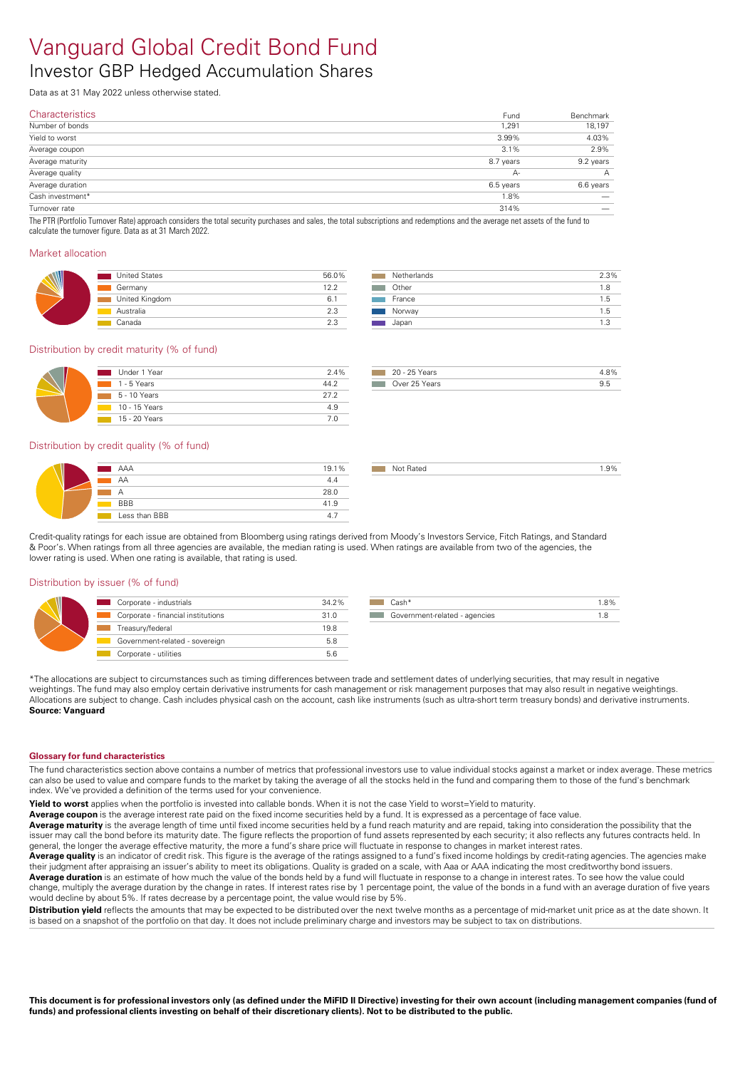# Vanguard Global Credit Bond Fund

### Investor GBP Hedged Accumulation Shares

Data as at 31 May 2022 unless otherwise stated.

| <b>Characteristics</b> | Fund      | Benchmark |
|------------------------|-----------|-----------|
| Number of bonds        | 1,291     | 18,197    |
| Yield to worst         | 3.99%     | 4.03%     |
| Average coupon         | 3.1%      | 2.9%      |
| Average maturity       | 8.7 years | 9.2 years |
| Average quality        | A-        | А         |
| Average duration       | 6.5 years | 6.6 years |
| Cash investment*       | 1.8%      | _         |
| Turnover rate          | 314%      |           |

The PTR (Portfolio Turnover Rate) approach considers the total security purchases and sales, the total subscriptions and redemptions and the average net assets of the fund to calculate the turnover figure. Data as at 31 March 2022.

#### Market allocation

| <b>United States</b> | 56.0% |
|----------------------|-------|
| Germany              | 122   |
| United Kingdom       | 6.    |
| Australia            | 2.3   |
| Canada               | 2.3   |

| Netherlands | 2.3% |  |
|-------------|------|--|
| Other       | 1.8  |  |
| France      | 1.5  |  |
| Norway      | 1.5  |  |
| Japan       | 13   |  |

#### Distribution by credit maturity (% of fund)

| Under 1 Year   | 2.4% |
|----------------|------|
| $1 - 5$ Years  | 44.2 |
| $5 - 10$ Years | 272  |
| 10 - 15 Years  | 49   |
| 15 - 20 Years  | 7 በ  |

| Years<br>$20 - 25$     |  |
|------------------------|--|
| - Over 25 Years<br>. . |  |

not Rated 2.9% and 2.9%

#### Distribution by credit quality (% of fund)

| AAA           | 19.1% |
|---------------|-------|
| AA            | 4.4   |
| А             | 28.0  |
| <b>BBB</b>    | 41.9  |
| Less than BBB |       |

Credit-quality ratings for each issue are obtained from Bloomberg using ratings derived from Moody's Investors Service, Fitch Ratings, and Standard & Poor's. When ratings from all three agencies are available, the median rating is used. When ratings are available from two of the agencies, the lower rating is used. When one rating is available, that rating is used.

#### Distribution by issuer (% of fund)

| Corporate - industrials            | 34.2% |
|------------------------------------|-------|
| Corporate - financial institutions | 31.0  |
| Treasury/federal                   | 19.8  |
| Government-related - sovereign     | 5.8   |
| Corporate - utilities              | 5.6   |

\*The allocations are subject to circumstances such as timing differences between trade and settlement dates of underlying securities, that may result in negative weightings. The fund may also employ certain derivative instruments for cash management or risk management purposes that may also result in negative weightings. Allocations are subject to change. Cash includes physical cash on the account, cash like instruments (such as ultra-short term treasury bonds) and derivative instruments. **Source: Vanguard** 

#### **Glossary for fund characteristics**

The fund characteristics section above contains a number of metrics that professional investors use to value individual stocks against a market or index average. These metrics can also be used to value and compare funds to the market by taking the average of all the stocks held in the fund and comparing them to those of the fund's benchmark index. We've provided a definition of the terms used for your convenience.

**Yield to worst** applies when the portfolio is invested into callable bonds. When it is not the case Yield to worst=Yield to maturity.

Average coupon is the average interest rate paid on the fixed income securities held by a fund. It is expressed as a percentage of face value.

**Average maturity** is the average length of time until fixed income securities held by a fund reach maturity and are repaid, taking into consideration the possibility that the issuer may call the bond before its maturity date. The figure reflects the proportion of fund assets represented by each security; it also reflects any futures contracts held. In general, the longer the average effective maturity, the more a fund's share price will fluctuate in response to changes in market interest rates.

Average quality is an indicator of credit risk. This figure is the average of the ratings assigned to a fund's fixed income holdings by credit-rating agencies. The agencies make their judgment after appraising an issuer's ability to meet its obligations. Quality is graded on a scale, with Aaa orAAA indicating the most creditworthy bond issuers. **Average duration** is an estimate of how much the value of the bonds held by a fund will fluctuate in response to a change in interest rates. To see how the value could change, multiply the average duration by the change in rates. If interest rates rise by 1 percentage point, the value of the bonds in a fund with an average duration of five years

would decline by about 5%. If rates decrease by a percentage point, the value would rise by 5%. **Distribution vield** reflects the amounts that may be expected to be distributed over the next twelve months as a percentage of mid-market unit price as at the date shown. It is based on a snapshot of the portfolio on that day. It does not include preliminary charge and investors may be subject to tax on distributions.